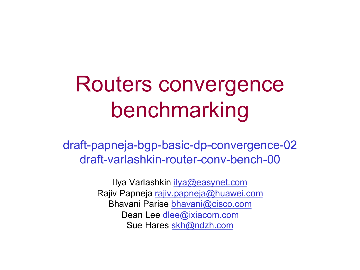#### Routers convergence benchmarking

draft-papneja-bgp-basic-dp-convergence-02 draft-varlashkin-router-conv-bench-00

> Ilya Varlashkin ilya@easynet.com Rajiv Papneja rajiv.papneja@huawei.com Bhavani Parise bhavani@cisco.com Dean Lee dlee@ixiacom.com Sue Hares skh@ndzh.com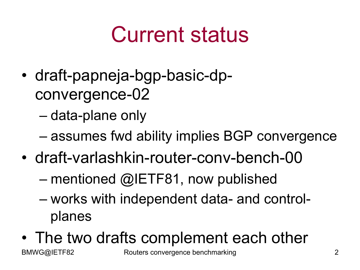### Current status

• draft-papneja-bgp-basic-dpconvergence-02

– data-plane only

- assumes fwd ability implies BGP convergence
- draft-varlashkin-router-conv-bench-00
	- mentioned @IETF81, now published
	- works with independent data- and controlplanes
- The two drafts complement each other

BMWG@IETF82 Routers convergence benchmarking 2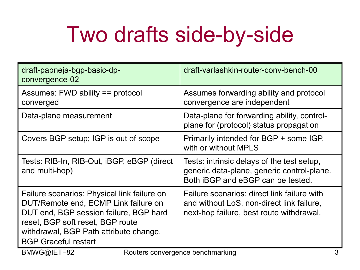### Two drafts side-by-side

| draft-papneja-bgp-basic-dp-<br>convergence-02                                                                                                                                                                                              | draft-varlashkin-router-conv-bench-00                                                                                                |
|--------------------------------------------------------------------------------------------------------------------------------------------------------------------------------------------------------------------------------------------|--------------------------------------------------------------------------------------------------------------------------------------|
| Assumes: FWD ability == protocol<br>converged                                                                                                                                                                                              | Assumes forwarding ability and protocol<br>convergence are independent                                                               |
| Data-plane measurement                                                                                                                                                                                                                     | Data-plane for forwarding ability, control-<br>plane for (protocol) status propagation                                               |
| Covers BGP setup; IGP is out of scope                                                                                                                                                                                                      | Primarily intended for BGP + some IGP,<br>with or without MPLS                                                                       |
| Tests: RIB-In, RIB-Out, iBGP, eBGP (direct<br>and multi-hop)                                                                                                                                                                               | Tests: intrinsic delays of the test setup,<br>generic data-plane, generic control-plane.<br>Both iBGP and eBGP can be tested.        |
| Failure scenarios: Physical link failure on<br>DUT/Remote end, ECMP Link failure on<br>DUT end, BGP session failure, BGP hard<br>reset, BGP soft reset, BGP route<br>withdrawal, BGP Path attribute change,<br><b>BGP Graceful restart</b> | Failure scenarios: direct link failure with<br>and without LoS, non-direct link failure,<br>next-hop failure, best route withdrawal. |
| BMWG@IETF82<br>Routers convergence benchmarking<br>3                                                                                                                                                                                       |                                                                                                                                      |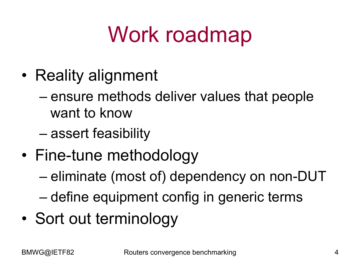# Work roadmap

- Reality alignment
	- ensure methods deliver values that people want to know
	- assert feasibility
- Fine-tune methodology
	- eliminate (most of) dependency on non-DUT
	- define equipment config in generic terms
- Sort out terminology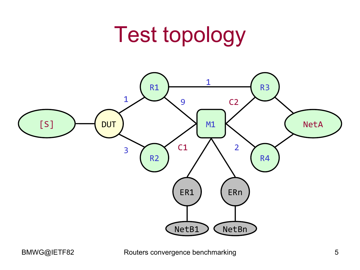#### Test topology